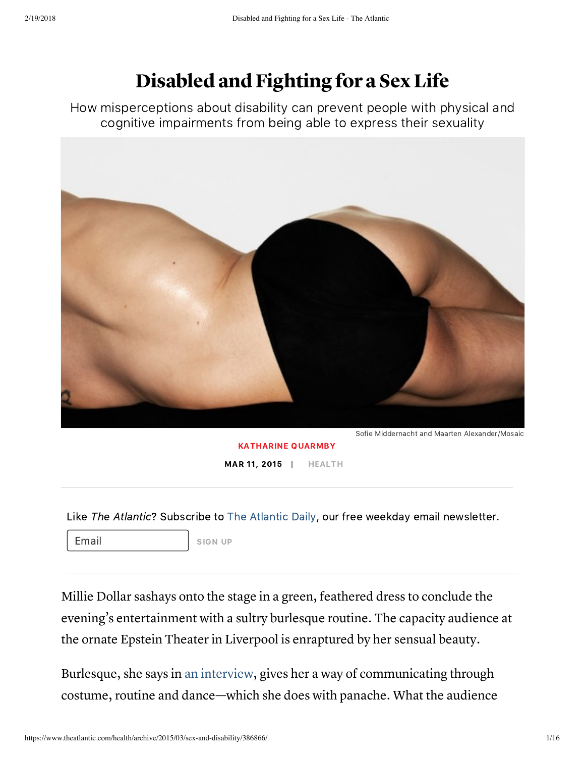# Disabled and Fighting for a Sex Life

How misperceptions about disability can prevent people with physical and cognitive impairments from being able to express their sexuality



[KATHARINE](https://www.theatlantic.com/author/katharine-quarmby/) QUARMBY MAR 11, 2015 | [HEALTH](https://www.theatlantic.com/health/)

Like The Atlantic? Subscribe to [The Atlantic Daily](http://www.theatlantic.com/newsletters/daily/), our free weekday email newsletter.

Email SIGN UP

Millie Dollar sashays onto the stage in a green, feathered dress to conclude the evening's entertainment with a sultry burlesque routine. The capacity audience at the ornate Epstein Theater in Liverpool is enraptured by her sensual beauty.

Burlesque, she says in an [interview](http://www.dailyrecord.co.uk/news/real-life/rave-reviews-burlesque-babe-rare-976512/), gives her a way of communicating through costume, routine and dance—which she does with panache. What the audience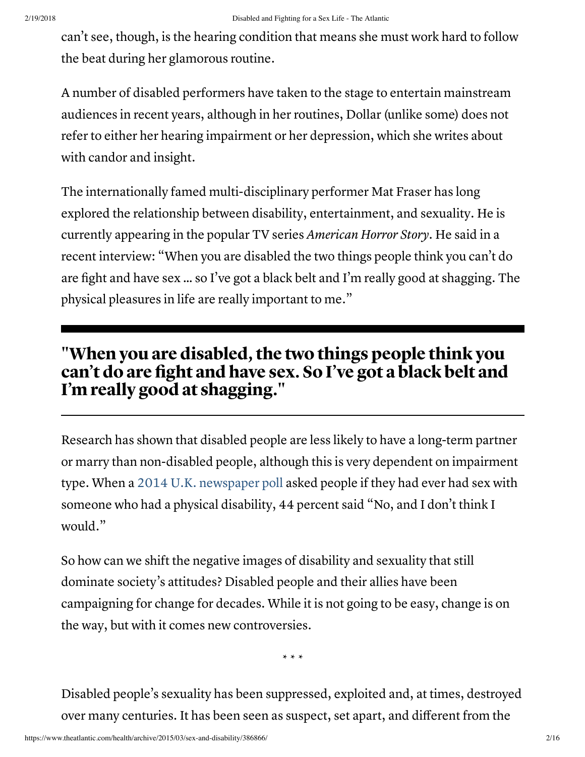can't see, though, is the hearing condition that means she must work hard to follow the beat during her glamorous routine.

A number of disabled performers have taken to the stage to entertain mainstream audiences in recent years, although in her routines, Dollar (unlike some) does not refer to either her hearing impairment or her depression, which she writes about with candor and insight.

The internationally famed multi-disciplinary performer Mat Fraser has long explored the relationship between disability, entertainment, and sexuality. He is currently appearing in the popular TV series American Horror Story. He said in a recent interview: "When you are disabled the two things people think you can't do are fight and have sex … so I've got a black belt and I'm really good at shagging. The physical pleasures in life are really important to me."

### "When you are disabled, the two things people think you can't do are fight and have sex. So I've got a black belt and I'm really good at shagging."

Research has shown that disabled people are less likely to have a long-term partner or marry than non-disabled people, although this is very dependent on impairment type. When a 2014 U.K. [newspaper](http://www.theguardian.com/lifeandstyle/2014/sep/28/british-sex-survey-2014-nation-lost-sexual-swagger) poll asked people if they had ever had sex with someone who had a physical disability, 44 percent said "No, and I don't think I would."

So how can we shift the negative images of disability and sexuality that still dominate society's attitudes? Disabled people and their allies have been campaigning for change for decades. While it is not going to be easy, change is on the way, but with it comes new controversies.

\* \* \*

Disabled people's sexuality has been suppressed, exploited and, at times, destroyed over many centuries. It has been seen as suspect, set apart, and different from the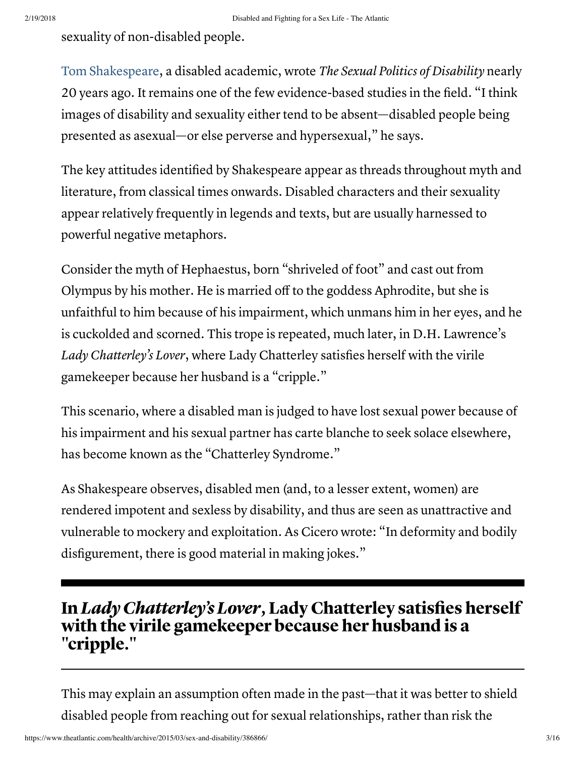sexuality of non-disabled people.

Tom [Shakespeare,](https://www.uea.ac.uk/medicine/people/profile/tom-shakespeare) a disabled academic, wrote The Sexual Politics of Disability nearly 20 years ago. It remains one of the few evidence-based studies in the field. "I think images of disability and sexuality either tend to be absent—disabled people being presented as asexual—or else perverse and hypersexual," he says.

The key attitudes identified by Shakespeare appear as threads throughout myth and literature, from classical times onwards. Disabled characters and their sexuality appear relatively frequently in legends and texts, but are usually harnessed to powerful negative metaphors.

Consider the myth of Hephaestus, born "shriveled of foot" and cast out from Olympus by his mother. He is married off to the goddess Aphrodite, but she is unfaithful to him because of his impairment, which unmans him in her eyes, and he is cuckolded and scorned. This trope is repeated, much later, in D.H. Lawrence's Lady Chatterley's Lover, where Lady Chatterley satisfies herself with the virile gamekeeper because her husband is a "cripple."

This scenario, where a disabled man is judged to have lost sexual power because of his impairment and his sexual partner has carte blanche to seek solace elsewhere, has become known as the "Chatterley Syndrome."

As Shakespeare observes, disabled men (and, to a lesser extent, women) are rendered impotent and sexless by disability, and thus are seen as unattractive and vulnerable to mockery and exploitation. As Cicero wrote: "In deformity and bodily disfigurement, there is good material in making jokes."

### In Lady Chatterley's Lover, Lady Chatterley satisfies herself with the virile gamekeeper because her husband is a "cripple."

This may explain an assumption often made in the past—that it was better to shield disabled people from reaching out for sexual relationships, rather than risk the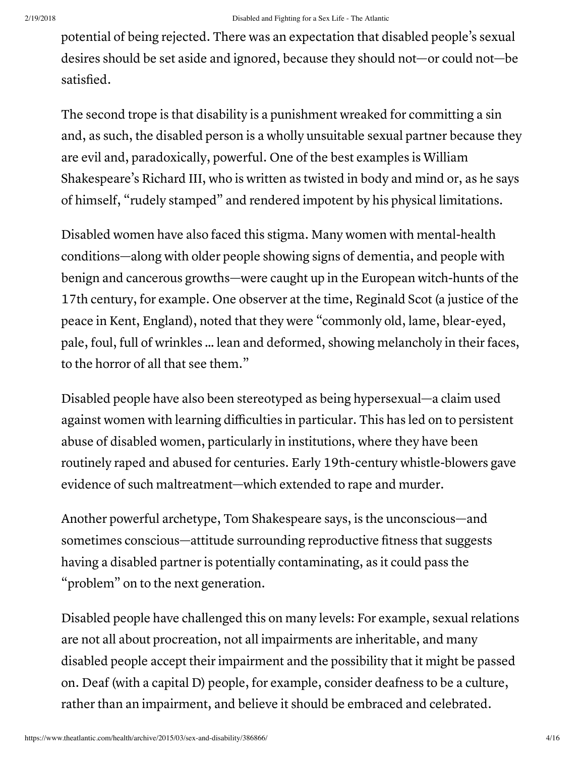potential of being rejected. There was an expectation that disabled people's sexual desires should be set aside and ignored, because they should not—or could not—be satisfied.

The second trope is that disability is a punishment wreaked for committing a sin and, as such, the disabled person is a wholly unsuitable sexual partner because they are evil and, paradoxically, powerful. One of the best examples is William Shakespeare's Richard III, who is written as twisted in body and mind or, as he says of himself, "rudely stamped" and rendered impotent by his physical limitations.

Disabled women have also faced this stigma. Many women with mental-health conditions—along with older people showing signs of dementia, and people with benign and cancerous growths—were caught up in the European witch-hunts of the 17th century, for example. One observer at the time, Reginald Scot (a justice of the peace in Kent, England), noted that they were "commonly old, lame, blear-eyed, pale, foul, full of wrinkles … lean and deformed, showing melancholy in their faces, to the horror of all that see them."

Disabled people have also been stereotyped as being hypersexual—a claim used against women with learning difficulties in particular. This has led on to persistent abuse of disabled women, particularly in institutions, where they have been routinely raped and abused for centuries. Early 19th-century whistle-blowers gave evidence of such maltreatment—which extended to rape and murder.

Another powerful archetype, Tom Shakespeare says, is the unconscious—and sometimes conscious—attitude surrounding reproductive fitness that suggests having a disabled partner is potentially contaminating, as it could pass the "problem" on to the next generation.

Disabled people have challenged this on many levels: For example, sexual relations are not all about procreation, not all impairments are inheritable, and many disabled people accept their impairment and the possibility that it might be passed on. Deaf (with a capital D) people, for example, consider deafness to be a culture, rather than an impairment, and believe it should be embraced and celebrated.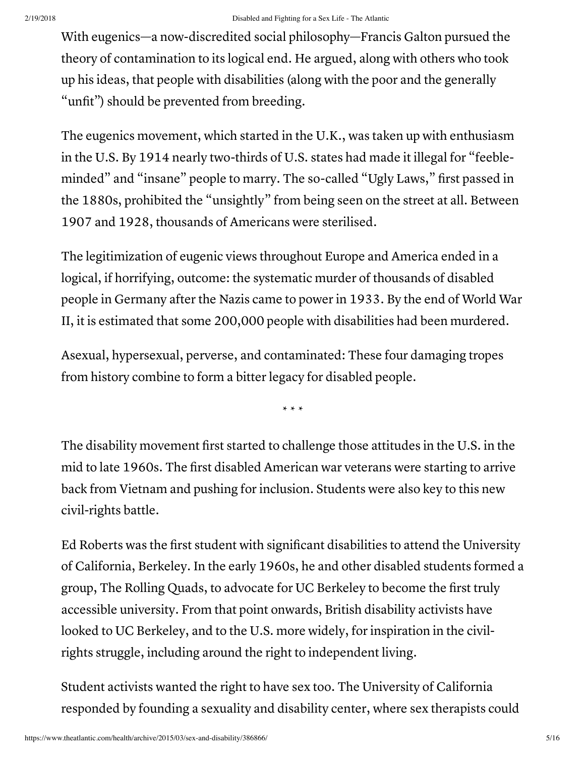With eugenics—a now-discredited social philosophy—Francis Galton pursued the theory of contamination to its logical end. He argued, along with others who took up his ideas, that people with disabilities (along with the poor and the generally "unfit") should be prevented from breeding.

The eugenics movement, which started in the U.K., was taken up with enthusiasm in the U.S. By 1914 nearly two-thirds of U.S. states had made it illegal for "feebleminded" and "insane" people to marry. The so-called "Ugly Laws," first passed in the 1880s, prohibited the "unsightly" from being seen on the street at all. Between 1907 and 1928, thousands of Americans were sterilised.

The legitimization of eugenic views throughout Europe and America ended in a logical, if horrifying, outcome: the systematic murder of thousands of disabled people in Germany after the Nazis came to power in 1933. By the end of World War II, it is estimated that some 200,000 people with disabilities had been murdered.

Asexual, hypersexual, perverse, and contaminated: These four damaging tropes from history combine to form a bitter legacy for disabled people.

\* \* \*

The disability movement first started to challenge those attitudes in the U.S. in the mid to late 1960s. The first disabled American war veterans were starting to arrive back from Vietnam and pushing for inclusion. Students were also key to this new civil-rights battle.

Ed Roberts was the first student with significant disabilities to attend the University of California, Berkeley. In the early 1960s, he and other disabled students formed a group, The Rolling Quads, to advocate for UC Berkeley to become the first truly accessible university. From that point onwards, British disability activists have looked to UC Berkeley, and to the U.S. more widely, for inspiration in the civilrights struggle, including around the right to independent living.

Student activists wanted the right to have sex too. The University of California responded by founding a sexuality and disability center, where sex therapists could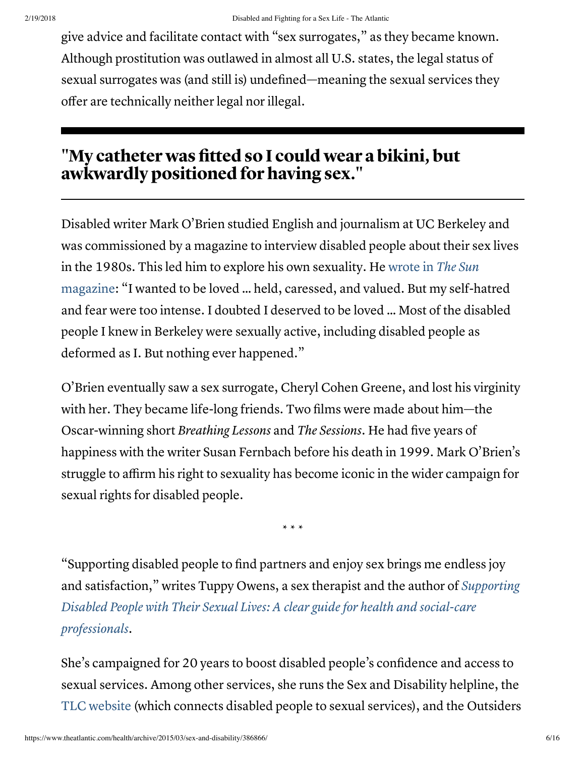give advice and facilitate contact with "sex surrogates," as they became known. Although prostitution was outlawed in almost all U.S. states, the legal status of sexual surrogates was (and still is) undefined—meaning the sexual services they offer are technically neither legal nor illegal.

### "My catheter was fitted so I could wear a bikini, but awkwardly positioned for having sex."

Disabled writer Mark O'Brien studied English and journalism at UC Berkeley and was commissioned by a magazine to interview disabled people about their sex lives in the 1980s. This led him to explore his own sexuality. He wrote in The Sun [magazine:](http://thesunmagazine.org/issues/174/on_seeing_a_sex_surrogate) "I wanted to be loved … held, caressed, and valued. But my self-hatred and fear were too intense. I doubted I deserved to be loved … Most of the disabled people I knew in Berkeley were sexually active, including disabled people as deformed as I. But nothing ever happened."

O'Brien eventually saw a sex surrogate, Cheryl Cohen Greene, and lost his virginity with her. They became life-long friends. Two films were made about him—the Oscar-winning short Breathing Lessons and The Sessions. He had five years of happiness with the writer Susan Fernbach before his death in 1999. Mark O'Brien's struggle to affirm his right to sexuality has become iconic in the wider campaign for sexual rights for disabled people.

\* \* \*

"Supporting disabled people to find partners and enjoy sex brings me endless joy and [satisfaction,"](http://www.jkp.com/uk/supporting-disabled-people-with-their-sexual-lives.html) writes Tuppy Owens, a sex therapist and the author of Supporting Disabled People with Their Sexual Lives: A clear guide for health and social-care professionals.

She's campaigned for 20 years to boost disabled people's confidence and access to sexual services. Among other services, she runs the Sex and Disability helpline, the TLC [website](http://www.tlc-trust.org.uk/links.php) (which connects disabled people to sexual services), and the Outsiders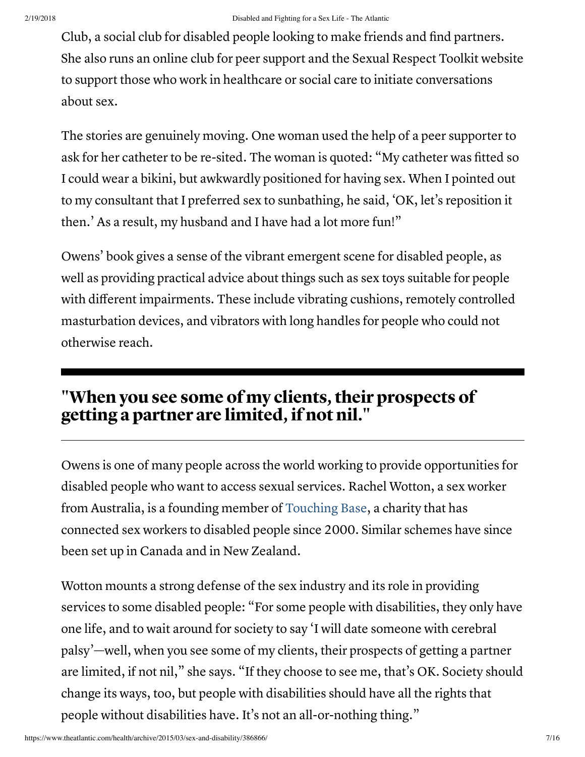Club, a social club for disabled people looking to make friends and find partners. She also runs an online club for peer support and the Sexual Respect Toolkit website to support those who work in healthcare or social care to initiate conversations about sex.

The stories are genuinely moving. One woman used the help of a peer supporter to ask for her catheter to be re-sited. The woman is quoted: "My catheter was fitted so I could wear a bikini, but awkwardly positioned for having sex. When I pointed out to my consultant that I preferred sex to sunbathing, he said, 'OK, let's reposition it then.' As a result, my husband and I have had a lot more fun!"

Owens' book gives a sense of the vibrant emergent scene for disabled people, as well as providing practical advice about things such as sex toys suitable for people with different impairments. These include vibrating cushions, remotely controlled masturbation devices, and vibrators with long handles for people who could not otherwise reach.

### "When you see some of my clients, their prospects of getting a partner are limited, if not nil."

Owens is one of many people across the world working to provide opportunities for disabled people who want to access sexual services. Rachel Wotton, a sex worker from Australia, is a founding member of [Touching Base,](http://www.touchingbase.org/) a charity that has connected sex workers to disabled people since 2000. Similar schemes have since been set up in Canada and in New Zealand.

Wotton mounts a strong defense of the sex industry and its role in providing services to some disabled people: "For some people with disabilities, they only have one life, and to wait around for society to say 'I will date someone with cerebral palsy'—well, when you see some of my clients, their prospects of getting a partner are limited, if not nil," she says. "If they choose to see me, that's OK. Society should change its ways, too, but people with disabilities should have all the rights that people without disabilities have. It's not an all-or-nothing thing."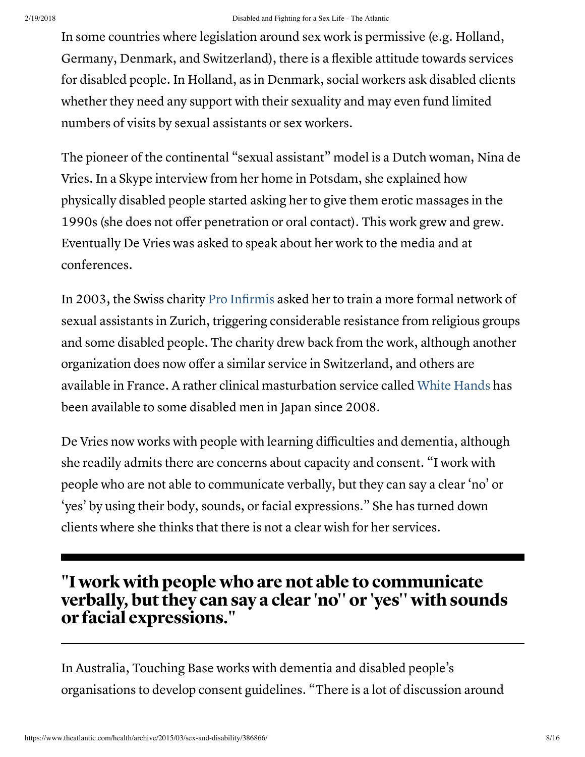In some countries where legislation around sex work is permissive (e.g. Holland, Germany, Denmark, and Switzerland), there is a flexible attitude towards services for disabled people. In Holland, as in Denmark, social workers ask disabled clients whether they need any support with their sexuality and may even fund limited numbers of visits by sexual assistants or sex workers.

The pioneer of the continental "sexual assistant" model is a Dutch woman, Nina de Vries. In a Skype interview from her home in Potsdam, she explained how physically disabled people started asking her to give them erotic massages in the 1990s (she does not offer penetration or oral contact). This work grew and grew. Eventually De Vries was asked to speak about her work to the media and at conferences.

In 2003, the Swiss charity Pro [Infirmis](http://www.proinfirmis.ch/de/home.html) asked her to train a more formal network of sexual assistants in Zurich, triggering considerable resistance from religious groups and some disabled people. The charity drew back from the work, although another organization does now offer a similar service in Switzerland, and others are available in France. A rather clinical masturbation service called White [Hands](http://www.whitehands.jp/e.html) has been available to some disabled men in Japan since 2008.

De Vries now works with people with learning difficulties and dementia, although she readily admits there are concerns about capacity and consent. "I work with people who are not able to communicate verbally, but they can say a clear 'no' or 'yes' by using their body, sounds, or facial expressions." She has turned down clients where she thinks that there is not a clear wish for her services.

### "I work with people who are not able to communicate verbally, but they can say a clear 'no'' or 'yes'' with sounds or facial expressions."

In Australia, Touching Base works with dementia and disabled people's organisations to develop consent guidelines. "There is a lot of discussion around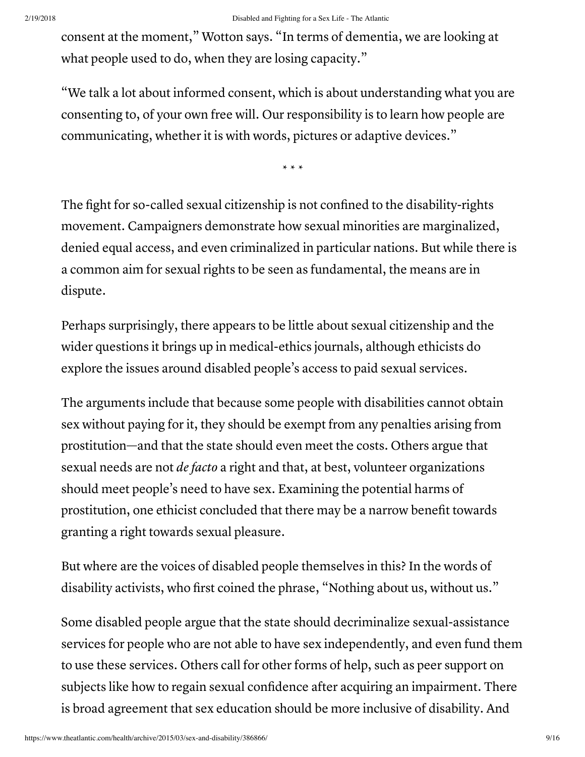consent at the moment," Wotton says. "In terms of dementia, we are looking at what people used to do, when they are losing capacity."

"We talk a lot about informed consent, which is about understanding what you are consenting to, of your own free will. Our responsibility is to learn how people are communicating, whether it is with words, pictures or adaptive devices."

\* \* \*

The fight for so-called sexual citizenship is not confined to the disability-rights movement. Campaigners demonstrate how sexual minorities are marginalized, denied equal access, and even criminalized in particular nations. But while there is a common aim for sexual rights to be seen as fundamental, the means are in dispute.

Perhaps surprisingly, there appears to be little about sexual citizenship and the wider questions it brings up in medical-ethics journals, although ethicists do explore the issues around disabled people's access to paid sexual services.

The arguments include that because some people with disabilities cannot obtain sex without paying for it, they should be exempt from any penalties arising from prostitution—and that the state should even meet the costs. Others argue that sexual needs are not *de facto* a right and that, at best, volunteer organizations should meet people's need to have sex. Examining the potential harms of prostitution, one ethicist concluded that there may be a narrow benefit towards granting a right towards sexual pleasure.

But where are the voices of disabled people themselves in this? In the words of disability activists, who first coined the phrase, "Nothing about us, without us."

Some disabled people argue that the state should decriminalize sexual-assistance services for people who are not able to have sex independently, and even fund them to use these services. Others call for other forms of help, such as peer support on subjects like how to regain sexual confidence after acquiring an impairment. There is broad agreement that sex education should be more inclusive of disability. And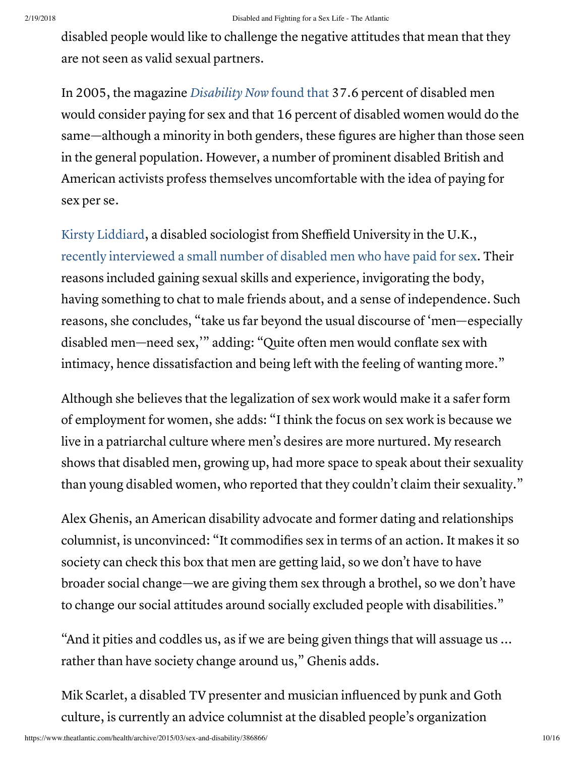disabled people would like to challenge the negative attitudes that mean that they are not seen as valid sexual partners.

In 2005, the magazine [Disability](http://www.disabilitynow.org.uk/article/sex-rights-disability-and-some-ticklish-questions) Now found that 37.6 percent of disabled men would consider paying for sex and that 16 percent of disabled women would do the same—although a minority in both genders, these figures are higher than those seen in the general population. However, a number of prominent disabled British and American activists profess themselves uncomfortable with the idea of paying for sex per se.

Kirsty [Liddiard,](http://www.sheffield.ac.uk/education/staff/academic/kliddiard) a disabled sociologist from Sheffield University in the U.K., recently [interviewed](http://sex.sagepub.com/content/17/7/837.abstract) a small number of disabled men who have paid for sex. Their reasons included gaining sexual skills and experience, invigorating the body, having something to chat to male friends about, and a sense of independence. Such reasons, she concludes, "take us far beyond the usual discourse of 'men—especially disabled men—need sex,'" adding: "Quite often men would conflate sex with intimacy, hence dissatisfaction and being left with the feeling of wanting more."

Although she believes that the legalization of sex work would make it a safer form of employment for women, she adds: "I think the focus on sex work is because we live in a patriarchal culture where men's desires are more nurtured. My research shows that disabled men, growing up, had more space to speak about their sexuality than young disabled women, who reported that they couldn't claim their sexuality."

Alex Ghenis, an American disability advocate and former dating and relationships columnist, is unconvinced: "It commodifies sex in terms of an action. It makes it so society can check this box that men are getting laid, so we don't have to have broader social change—we are giving them sex through a brothel, so we don't have to change our social attitudes around socially excluded people with disabilities."

"And it pities and coddles us, as if we are being given things that will assuage us ... rather than have society change around us," Ghenis adds.

Mik Scarlet, a disabled TV presenter and musician influenced by punk and Goth culture, is currently an advice columnist at the disabled people's organization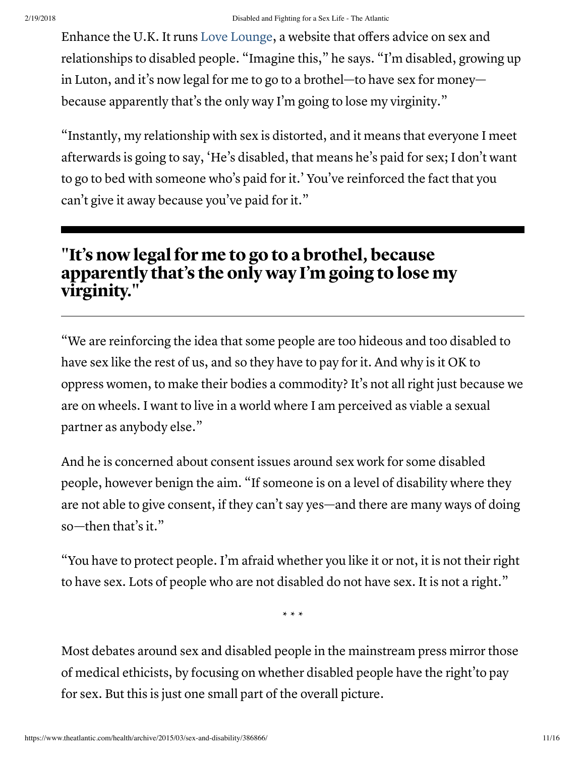Enhance the U.K. It runs Love [Lounge](http://enhancetheuk.org/enhance/the-love-lounge/), a website that offers advice on sex and relationships to disabled people. "Imagine this," he says. "I'm disabled, growing up in Luton, and it's now legal for me to go to a brothel—to have sex for money because apparently that's the only way I'm going to lose my virginity."

"Instantly, my relationship with sex is distorted, and it means that everyone I meet afterwards is going to say, 'He's disabled, that means he's paid for sex; I don't want to go to bed with someone who's paid for it.' You've reinforced the fact that you can't give it away because you've paid for it."

## "It's now legal for me to go to a brothel, because apparently that's the only way I'm going to lose my virginity."

"We are reinforcing the idea that some people are too hideous and too disabled to have sex like the rest of us, and so they have to pay for it. And why is it OK to oppress women, to make their bodies a commodity? It's not all right just because we are on wheels. I want to live in a world where I am perceived as viable a sexual partner as anybody else."

And he is concerned about consent issues around sex work for some disabled people, however benign the aim. "If someone is on a level of disability where they are not able to give consent, if they can't say yes—and there are many ways of doing so—then that's it."

"You have to protect people. I'm afraid whether you like it or not, it is not their right to have sex. Lots of people who are not disabled do not have sex. It is not a right."

\* \* \*

Most debates around sex and disabled people in the mainstream press mirror those of medical ethicists, by focusing on whether disabled people have the right'to pay for sex. But this is just one small part of the overall picture.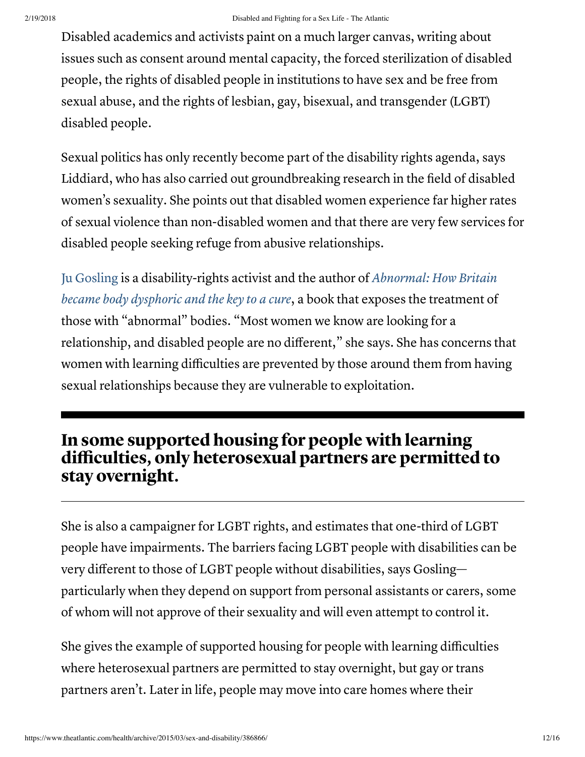Disabled academics and activists paint on a much larger canvas, writing about issues such as consent around mental capacity, the forced sterilization of disabled people, the rights of disabled people in institutions to have sex and be free from sexual abuse, and the rights of lesbian, gay, bisexual, and transgender (LGBT) disabled people.

Sexual politics has only recently become part of the disability rights agenda, says Liddiard, who has also carried out groundbreaking research in the field of disabled women's sexuality. She points out that disabled women experience far higher rates of sexual violence than non-disabled women and that there are very few services for disabled people seeking refuge from abusive relationships.

Ju [Gosling](http://www.ju90.co.uk/) is a [disability-rights](http://www.ju90.co.uk/abbook.htm) activist and the author of Abnormal: How Britain became body dysphoric and the key to a cure, a book that exposes the treatment of those with "abnormal" bodies. "Most women we know are looking for a relationship, and disabled people are no different," she says. She has concerns that women with learning difficulties are prevented by those around them from having sexual relationships because they are vulnerable to exploitation.

### In some supported housing for people with learning difficulties, only heterosexual partners are permitted to stay overnight.

She is also a campaigner for LGBT rights, and estimates that one-third of LGBT people have impairments. The barriers facing LGBT people with disabilities can be very different to those of LGBT people without disabilities, says Gosling particularly when they depend on support from personal assistants or carers, some of whom will not approve of their sexuality and will even attempt to control it.

She gives the example of supported housing for people with learning difficulties where heterosexual partners are permitted to stay overnight, but gay or trans partners aren't. Later in life, people may move into care homes where their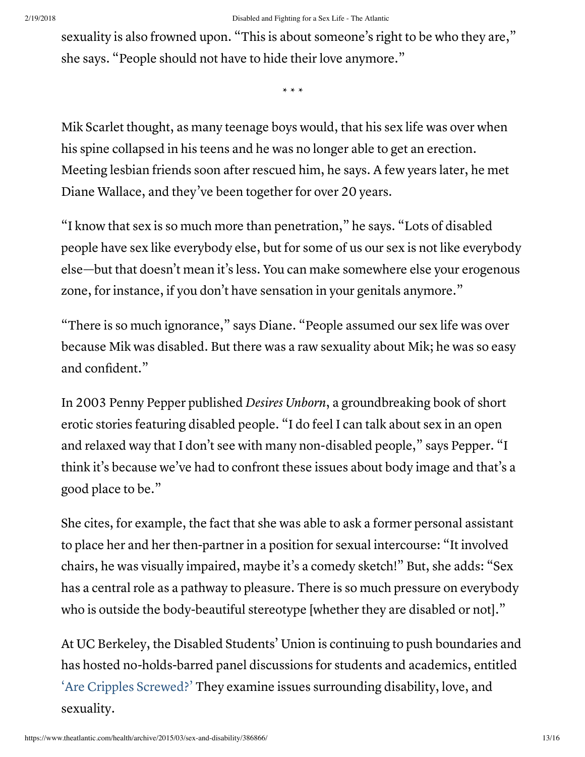sexuality is also frowned upon. "This is about someone's right to be who they are," she says. "People should not have to hide their love anymore."

\* \* \*

Mik Scarlet thought, as many teenage boys would, that his sex life was over when his spine collapsed in his teens and he was no longer able to get an erection. Meeting lesbian friends soon after rescued him, he says. A few years later, he met Diane Wallace, and they've been together for over 20 years.

"I know that sex is so much more than penetration," he says. "Lots of disabled people have sex like everybody else, but for some of us our sex is not like everybody else—but that doesn't mean it's less. You can make somewhere else your erogenous zone, for instance, if you don't have sensation in your genitals anymore."

"There is so much ignorance," says Diane. "People assumed our sex life was over because Mik was disabled. But there was a raw sexuality about Mik; he was so easy and confident."

In 2003 Penny Pepper published Desires Unborn, a groundbreaking book of short erotic stories featuring disabled people. "I do feel I can talk about sex in an open and relaxed way that I don't see with many non-disabled people," says Pepper. "I think it's because we've had to confront these issues about body image and that's a good place to be."

She cites, for example, the fact that she was able to ask a former personal assistant to place her and her then-partner in a position for sexual intercourse: "It involved chairs, he was visually impaired, maybe it's a comedy sketch!" But, she adds: "Sex has a central role as a pathway to pleasure. There is so much pressure on everybody who is outside the body-beautiful stereotype [whether they are disabled or not]."

At UC Berkeley, the Disabled Students' Union is continuing to push boundaries and has hosted no-holds-barred panel discussions for students and academics, entitled ['A](https://www.facebook.com/groups/2219590487/)re Cripples [Screwed?'](https://www.facebook.com/groups/2219590487/) They examine issues surrounding disability, love, and sexuality.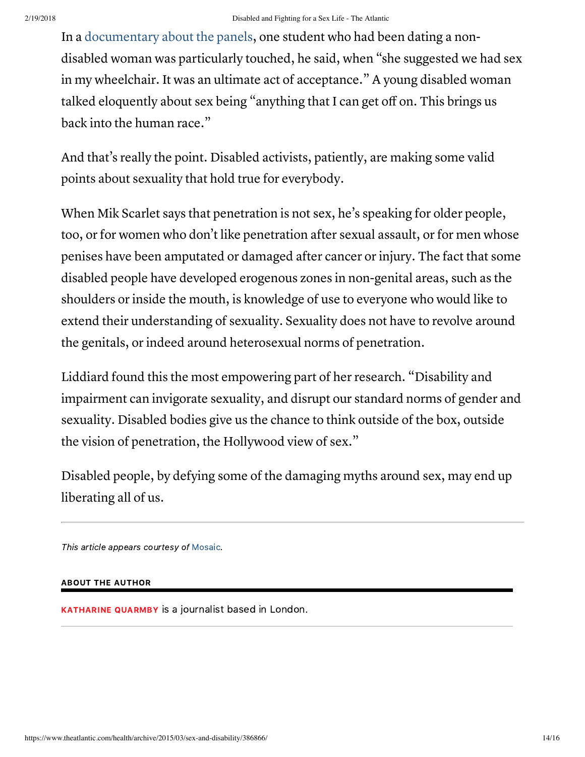In a [documentary](http://www.ablehere.com/media-gallery/67-sex-abled-disability-uncensored.html?category_id=23) about the panels, one student who had been dating a nondisabled woman was particularly touched, he said, when "she suggested we had sex in my wheelchair. It was an ultimate act of acceptance." A young disabled woman talked eloquently about sex being "anything that I can get off on. This brings us back into the human race."

And that's really the point. Disabled activists, patiently, are making some valid points about sexuality that hold true for everybody.

When Mik Scarlet says that penetration is not sex, he's speaking for older people, too, or for women who don't like penetration after sexual assault, or for men whose penises have been amputated or damaged after cancer or injury. The fact that some disabled people have developed erogenous zones in non-genital areas, such as the shoulders or inside the mouth, is knowledge of use to everyone who would like to extend their understanding of sexuality. Sexuality does not have to revolve around the genitals, or indeed around heterosexual norms of penetration.

Liddiard found this the most empowering part of her research. "Disability and impairment can invigorate sexuality, and disrupt our standard norms of gender and sexuality. Disabled bodies give us the chance to think outside of the box, outside the vision of penetration, the Hollywood view of sex."

Disabled people, by defying some of the damaging myths around sex, may end up liberating all of us.

This article appears courtesy of [Mosaic](http://mosaicscience.com/story/sex-disability).

### ABOUT THE AUTHOR

[KATHARINE](https://www.theatlantic.com/author/katharine-quarmby/) QUARMBY is a journalist based in London.